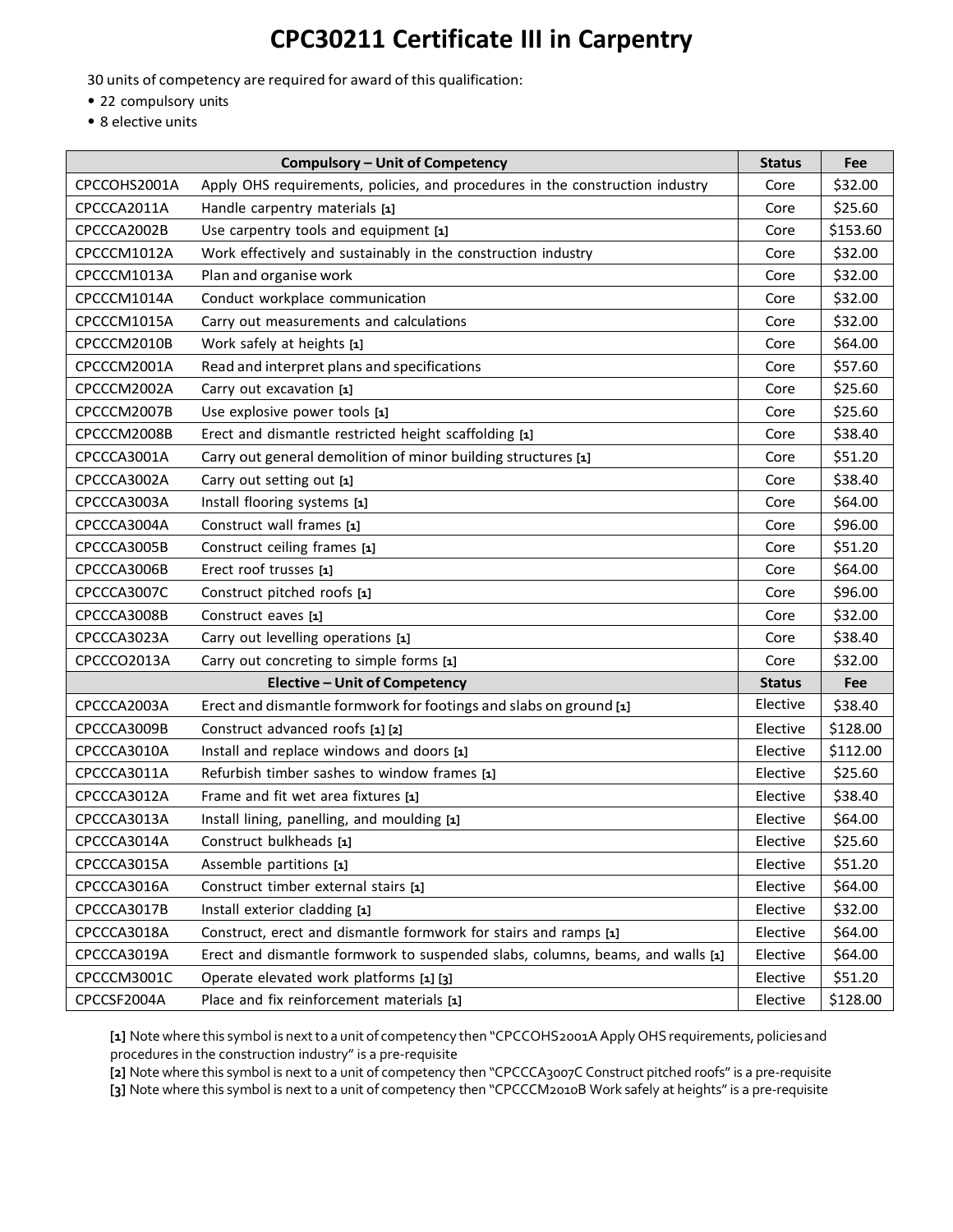## **CPC30211 Certificate III in Carpentry**

30 units of competency are required for award of this qualification:

- 22 compulsory units
- 8 elective units

|                                      | <b>Compulsory - Unit of Competency</b>                                         | <b>Status</b> | Fee      |
|--------------------------------------|--------------------------------------------------------------------------------|---------------|----------|
| CPCCOHS2001A                         | Apply OHS requirements, policies, and procedures in the construction industry  | Core          | \$32.00  |
| CPCCCA2011A                          | Handle carpentry materials [1]                                                 | Core          | \$25.60  |
| CPCCCA2002B                          | Use carpentry tools and equipment [1]                                          | Core          | \$153.60 |
| CPCCCM1012A                          | Work effectively and sustainably in the construction industry                  | Core          | \$32.00  |
| CPCCCM1013A                          | Plan and organise work                                                         | Core          | \$32.00  |
| CPCCCM1014A                          | Conduct workplace communication                                                | Core          | \$32.00  |
| CPCCCM1015A                          | Carry out measurements and calculations                                        | Core          | \$32.00  |
| CPCCCM2010B                          | Work safely at heights [1]                                                     | Core          | \$64.00  |
| CPCCCM2001A                          | Read and interpret plans and specifications                                    | Core          | \$57.60  |
| CPCCCM2002A                          | Carry out excavation [1]                                                       | Core          | \$25.60  |
| CPCCCM2007B                          | Use explosive power tools [1]                                                  | Core          | \$25.60  |
| CPCCCM2008B                          | Erect and dismantle restricted height scaffolding [1]                          | Core          | \$38.40  |
| CPCCCA3001A                          | Carry out general demolition of minor building structures [1]                  | Core          | \$51.20  |
| CPCCCA3002A                          | Carry out setting out [1]                                                      | Core          | \$38.40  |
| CPCCCA3003A                          | Install flooring systems [1]                                                   | Core          | \$64.00  |
| CPCCCA3004A                          | Construct wall frames [1]                                                      | Core          | \$96.00  |
| CPCCCA3005B                          | Construct ceiling frames [1]                                                   | Core          | \$51.20  |
| CPCCCA3006B                          | Erect roof trusses [1]                                                         | Core          | \$64.00  |
| CPCCCA3007C                          | Construct pitched roofs [1]                                                    | Core          | \$96.00  |
| CPCCCA3008B                          | Construct eaves [1]                                                            | Core          | \$32.00  |
| CPCCCA3023A                          | Carry out levelling operations [1]                                             | Core          | \$38.40  |
| CPCCCO2013A                          | Carry out concreting to simple forms [1]                                       | Core          | \$32.00  |
| <b>Elective - Unit of Competency</b> |                                                                                | <b>Status</b> | Fee      |
| CPCCCA2003A                          | Erect and dismantle formwork for footings and slabs on ground [1]              | Elective      | \$38.40  |
| CPCCCA3009B                          | Construct advanced roofs [1] [2]                                               | Elective      | \$128.00 |
| CPCCCA3010A                          | Install and replace windows and doors [1]                                      | Elective      | \$112.00 |
| CPCCCA3011A                          | Refurbish timber sashes to window frames [1]                                   | Elective      | \$25.60  |
| CPCCCA3012A                          | Frame and fit wet area fixtures [1]                                            | Elective      | \$38.40  |
| CPCCCA3013A                          | Install lining, panelling, and moulding [1]                                    | Elective      | \$64.00  |
| CPCCCA3014A                          | Construct bulkheads [1]                                                        | Elective      | \$25.60  |
| CPCCCA3015A                          | Assemble partitions [1]                                                        | Elective      | \$51.20  |
| CPCCCA3016A                          | Construct timber external stairs [1]                                           | Elective      | \$64.00  |
| CPCCCA3017B                          | Install exterior cladding [1]                                                  | Elective      | \$32.00  |
| CPCCCA3018A                          | Construct, erect and dismantle formwork for stairs and ramps [1]               | Elective      | \$64.00  |
| CPCCCA3019A                          | Erect and dismantle formwork to suspended slabs, columns, beams, and walls [1] | Elective      | \$64.00  |
| CPCCCM3001C                          | Operate elevated work platforms [1] [3]                                        | Elective      | \$51.20  |
| CPCCSF2004A                          | Place and fix reinforcement materials [1]                                      | Elective      | \$128.00 |

[1] Note where this symbol is next to a unit of competency then "CPCCOHS2001A Apply OHS requirements, policies and procedures in the construction industry" is a pre‐requisite

**[2]** Note where this symbol is next to a unit of competency then "CPCCCA3007C Construct pitched roofs" is a pre‐requisite **[3]** Note where this symbol is next to a unit of competency then "CPCCCM2010B Work safely at heights" is a pre‐requisite